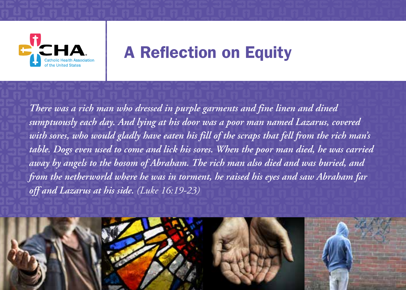

## A Reflection on Equity

*There was a rich man who dressed in purple garments and fine linen and dined sumptuously each day. And lying at his door was a poor man named Lazarus, covered with sores, who would gladly have eaten his fill of the scraps that fell from the rich man's table. Dogs even used to come and lick his sores. When the poor man died, he was carried away by angels to the bosom of Abraham. The rich man also died and was buried, and from the netherworld where he was in torment, he raised his eyes and saw Abraham far off and Lazarus at his side. (Luke 16:19-23)*